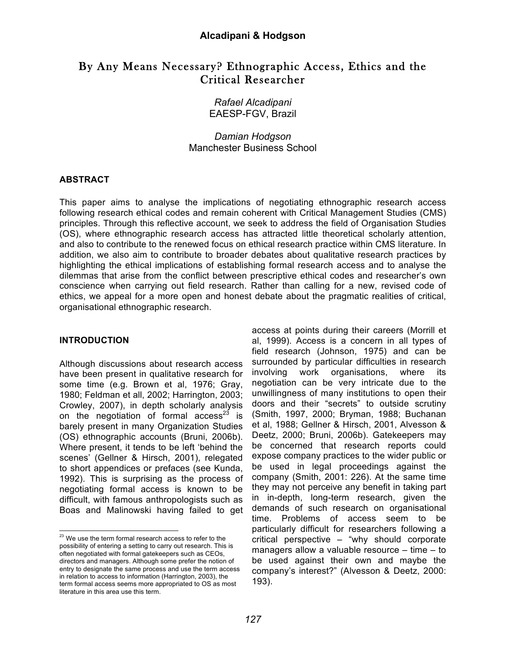# By Any Means Necessary? Ethnographic Access, Ethics and the Critical Researcher

*Rafael Alcadipani* EAESP-FGV, Brazil

*Damian Hodgson* Manchester Business School

# **ABSTRACT**

This paper aims to analyse the implications of negotiating ethnographic research access following research ethical codes and remain coherent with Critical Management Studies (CMS) principles. Through this reflective account, we seek to address the field of Organisation Studies (OS), where ethnographic research access has attracted little theoretical scholarly attention, and also to contribute to the renewed focus on ethical research practice within CMS literature. In addition, we also aim to contribute to broader debates about qualitative research practices by highlighting the ethical implications of establishing formal research access and to analyse the dilemmas that arise from the conflict between prescriptive ethical codes and researcher's own conscience when carrying out field research. Rather than calling for a new, revised code of ethics, we appeal for a more open and honest debate about the pragmatic realities of critical, organisational ethnographic research.

# **INTRODUCTION**

Although discussions about research access have been present in qualitative research for some time (e.g. Brown et al, 1976; Gray, 1980; Feldman et all, 2002; Harrington, 2003; Crowley, 2007), in depth scholarly analysis on the negotiation of formal access<sup>23</sup> is barely present in many Organization Studies (OS) ethnographic accounts (Bruni, 2006b). Where present, it tends to be left 'behind the scenes' (Gellner & Hirsch, 2001), relegated to short appendices or prefaces (see Kunda, 1992). This is surprising as the process of negotiating formal access is known to be difficult, with famous anthropologists such as Boas and Malinowski having failed to get

access at points during their careers (Morrill et al, 1999). Access is a concern in all types of field research (Johnson, 1975) and can be surrounded by particular difficulties in research involving work organisations, where its negotiation can be very intricate due to the unwillingness of many institutions to open their doors and their "secrets" to outside scrutiny (Smith, 1997, 2000; Bryman, 1988; Buchanan et al, 1988; Gellner & Hirsch, 2001, Alvesson & Deetz, 2000; Bruni, 2006b). Gatekeepers may be concerned that research reports could expose company practices to the wider public or be used in legal proceedings against the company (Smith, 2001: 226). At the same time they may not perceive any benefit in taking part in in-depth, long-term research, given the demands of such research on organisational time. Problems of access seem to be particularly difficult for researchers following a critical perspective – "why should corporate managers allow a valuable resource – time – to be used against their own and maybe the company's interest?" (Alvesson & Deetz, 2000: 193).

<sup>&</sup>lt;sup>23</sup> We use the term formal research access to refer to the possibility of entering a setting to carry out research. This is often negotiated with formal gatekeepers such as CEOs, directors and managers. Although some prefer the notion of entry to designate the same process and use the term access in relation to access to information (Harrington, 2003), the term formal access seems more appropriated to OS as most literature in this area use this term.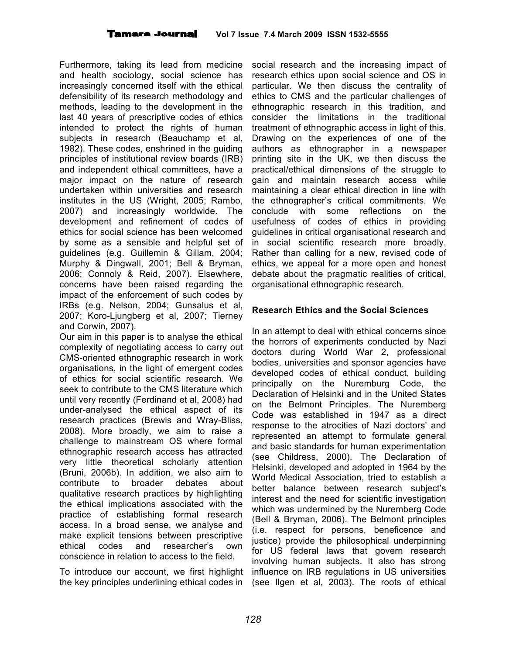Furthermore, taking its lead from medicine and health sociology, social science has increasingly concerned itself with the ethical defensibility of its research methodology and methods, leading to the development in the last 40 years of prescriptive codes of ethics intended to protect the rights of human subjects in research (Beauchamp et al, 1982). These codes, enshrined in the guiding principles of institutional review boards (IRB) and independent ethical committees, have a major impact on the nature of research undertaken within universities and research institutes in the US (Wright, 2005; Rambo, 2007) and increasingly worldwide. The development and refinement of codes of ethics for social science has been welcomed by some as a sensible and helpful set of guidelines (e.g. Guillemin & Gillam, 2004; Murphy & Dingwall, 2001; Bell & Bryman, 2006; Connoly & Reid, 2007). Elsewhere, concerns have been raised regarding the impact of the enforcement of such codes by IRBs (e.g. Nelson, 2004; Gunsalus et al, 2007; Koro-Ljungberg et al, 2007; Tierney and Corwin, 2007).

Our aim in this paper is to analyse the ethical complexity of negotiating access to carry out CMS-oriented ethnographic research in work organisations, in the light of emergent codes of ethics for social scientific research. We seek to contribute to the CMS literature which until very recently (Ferdinand et al, 2008) had under-analysed the ethical aspect of its research practices (Brewis and Wray-Bliss, 2008). More broadly, we aim to raise a challenge to mainstream OS where formal ethnographic research access has attracted very little theoretical scholarly attention (Bruni, 2006b). In addition, we also aim to contribute to broader debates about qualitative research practices by highlighting the ethical implications associated with the practice of establishing formal research access. In a broad sense, we analyse and make explicit tensions between prescriptive ethical codes and researcher's own conscience in relation to access to the field.

To introduce our account, we first highlight the key principles underlining ethical codes in

social research and the increasing impact of research ethics upon social science and OS in particular. We then discuss the centrality of ethics to CMS and the particular challenges of ethnographic research in this tradition, and consider the limitations in the traditional treatment of ethnographic access in light of this. Drawing on the experiences of one of the authors as ethnographer in a newspaper printing site in the UK, we then discuss the practical/ethical dimensions of the struggle to gain and maintain research access while maintaining a clear ethical direction in line with the ethnographer's critical commitments. We conclude with some reflections on the usefulness of codes of ethics in providing guidelines in critical organisational research and in social scientific research more broadly. Rather than calling for a new, revised code of ethics, we appeal for a more open and honest debate about the pragmatic realities of critical, organisational ethnographic research.

### **Research Ethics and the Social Sciences**

In an attempt to deal with ethical concerns since the horrors of experiments conducted by Nazi doctors during World War 2, professional bodies, universities and sponsor agencies have developed codes of ethical conduct, building principally on the Nuremburg Code, the Declaration of Helsinki and in the United States on the Belmont Principles. The Nuremberg Code was established in 1947 as a direct response to the atrocities of Nazi doctors' and represented an attempt to formulate general and basic standards for human experimentation (see Childress, 2000). The Declaration of Helsinki, developed and adopted in 1964 by the World Medical Association, tried to establish a better balance between research subject's interest and the need for scientific investigation which was undermined by the Nuremberg Code (Bell & Bryman, 2006). The Belmont principles (i.e. respect for persons, beneficence and justice) provide the philosophical underpinning for US federal laws that govern research involving human subjects. It also has strong influence on IRB regulations in US universities (see Ilgen et al, 2003). The roots of ethical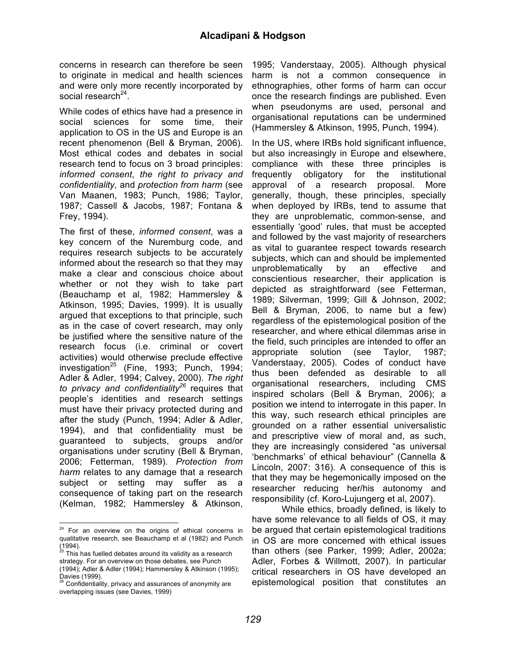concerns in research can therefore be seen to originate in medical and health sciences and were only more recently incorporated by social research<sup>24</sup>.

While codes of ethics have had a presence in social sciences for some time, their application to OS in the US and Europe is an recent phenomenon (Bell & Bryman, 2006). Most ethical codes and debates in social research tend to focus on 3 broad principles: *informed consent*, *the right to privacy and confidentiality,* and *protection from harm* (see Van Maanen, 1983; Punch, 1986; Taylor, 1987; Cassell & Jacobs, 1987; Fontana & Frey, 1994).

The first of these, *informed consent*, was a key concern of the Nuremburg code, and requires research subjects to be accurately informed about the research so that they may make a clear and conscious choice about whether or not they wish to take part (Beauchamp et al, 1982; Hammersley & Atkinson, 1995; Davies, 1999). It is usually argued that exceptions to that principle, such as in the case of covert research, may only be justified where the sensitive nature of the research focus (i.e. criminal or covert activities) would otherwise preclude effective investigation<sup>25</sup> (Fine, 1993; Punch, 1994; Adler & Adler, 1994; Calvey, 2000). *The right to privacy and confidentiality<sup>26</sup>* requires that people's identities and research settings must have their privacy protected during and after the study (Punch, 1994; Adler & Adler, 1994), and that confidentiality must be guaranteed to subjects, groups and/or organisations under scrutiny (Bell & Bryman, 2006; Fetterman, 1989). *Protection from harm* relates to any damage that a research subject or setting may suffer as a consequence of taking part on the research (Kelman, 1982; Hammersley & Atkinson,

1995; Vanderstaay, 2005). Although physical harm is not a common consequence in ethnographies, other forms of harm can occur once the research findings are published. Even when pseudonyms are used, personal and organisational reputations can be undermined (Hammersley & Atkinson, 1995, Punch, 1994).

In the US, where IRBs hold significant influence, but also increasingly in Europe and elsewhere, compliance with these three principles is frequently obligatory for the institutional approval of a research proposal. More generally, though, these principles, specially when deployed by IRBs, tend to assume that they are unproblematic, common-sense, and essentially 'good' rules, that must be accepted and followed by the vast majority of researchers as vital to guarantee respect towards research subjects, which can and should be implemented unproblematically by an effective and conscientious researcher, their application is depicted as straightforward (see Fetterman, 1989; Silverman, 1999; Gill & Johnson, 2002; Bell & Bryman, 2006, to name but a few) regardless of the epistemological position of the researcher, and where ethical dilemmas arise in the field, such principles are intended to offer an appropriate solution (see Taylor, 1987; Vanderstaay, 2005). Codes of conduct have thus been defended as desirable to all organisational researchers, including CMS inspired scholars (Bell & Bryman, 2006); a position we intend to interrogate in this paper. In this way, such research ethical principles are grounded on a rather essential universalistic and prescriptive view of moral and, as such, they are increasingly considered "as universal 'benchmarks' of ethical behaviour" (Cannella & Lincoln, 2007: 316). A consequence of this is that they may be hegemonically imposed on the researcher reducing her/his autonomy and responsibility (cf. Koro-Lujungerg et al, 2007).

While ethics, broadly defined, is likely to have some relevance to all fields of OS, it may be argued that certain epistemological traditions in OS are more concerned with ethical issues than others (see Parker, 1999; Adler, 2002a; Adler, Forbes & Willmott, 2007). In particular critical researchers in OS have developed an epistemological position that constitutes an

 $24$  For an overview on the origins of ethical concerns in qualitative research, see Beauchamp et al (1982) and Punch  $(1994)$ .<br><sup>25</sup> This has fuelled debates around its validity as a research

strategy. For an overview on those debates, see Punch (1994); Adler & Adler (1994); Hammersley & Atkinson (1995);

Davies (1999).<br>
<sup>26</sup> Confidentiality, privacy and assurances of anonymity are overlapping issues (see Davies, 1999)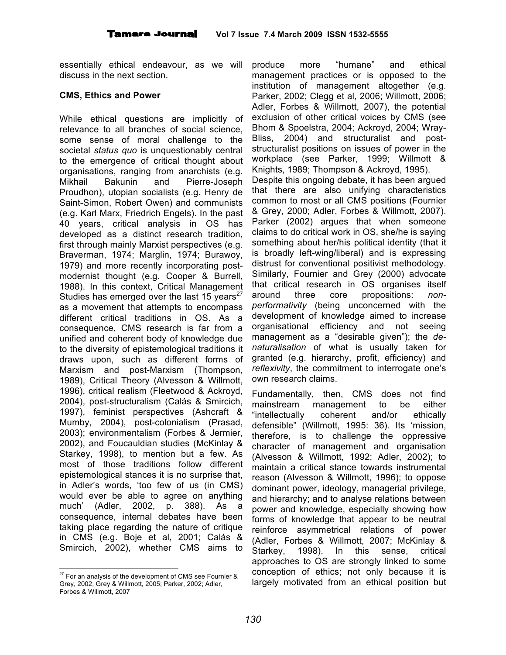essentially ethical endeavour, as we will discuss in the next section.

#### **CMS, Ethics and Power**

While ethical questions are implicitly of relevance to all branches of social science, some sense of moral challenge to the societal *status quo* is unquestionably central to the emergence of critical thought about organisations, ranging from anarchists (e.g. Mikhail Bakunin and Pierre-Joseph Proudhon), utopian socialists (e.g. Henry de Saint-Simon, Robert Owen) and communists (e.g. Karl Marx, Friedrich Engels). In the past 40 years, critical analysis in OS has developed as a distinct research tradition, first through mainly Marxist perspectives (e.g. Braverman, 1974; Marglin, 1974; Burawoy, 1979) and more recently incorporating postmodernist thought (e.g. Cooper & Burrell, 1988). In this context, Critical Management Studies has emerged over the last 15 years<sup>27</sup> as a movement that attempts to encompass different critical traditions in OS. As a consequence, CMS research is far from a unified and coherent body of knowledge due to the diversity of epistemological traditions it draws upon, such as different forms of Marxism and post-Marxism (Thompson, 1989), Critical Theory (Alvesson & Willmott, 1996), critical realism (Fleetwood & Ackroyd, 2004), post-structuralism (Calás & Smircich, 1997), feminist perspectives (Ashcraft & Mumby, 2004), post-colonialism (Prasad, 2003); environmentalism (Forbes & Jermier, 2002), and Foucauldian studies (McKinlay & Starkey, 1998), to mention but a few. As most of those traditions follow different epistemological stances it is no surprise that, in Adler's words, 'too few of us (in CMS) would ever be able to agree on anything much' (Adler, 2002, p. 388). As a consequence, internal debates have been taking place regarding the nature of critique in CMS (e.g. Boje et al, 2001; Calás & Smircich, 2002), whether CMS aims to

produce more "humane" and ethical management practices or is opposed to the institution of management altogether (e.g. Parker, 2002; Clegg et al, 2006; Willmott, 2006; Adler, Forbes & Willmott, 2007), the potential exclusion of other critical voices by CMS (see Bhom & Spoelstra, 2004; Ackroyd, 2004; Wray-Bliss, 2004) and structuralist and poststructuralist positions on issues of power in the workplace (see Parker, 1999; Willmott & Knights, 1989; Thompson & Ackroyd, 1995). Despite this ongoing debate, it has been argued that there are also unifying characteristics common to most or all CMS positions (Fournier & Grey, 2000; Adler, Forbes & Willmott, 2007). Parker (2002) argues that when someone claims to do critical work in OS, she/he is saying something about her/his political identity (that it is broadly left-wing/liberal) and is expressing distrust for conventional positivist methodology. Similarly, Fournier and Grey (2000) advocate that critical research in OS organises itself around three core propositions: *nonperformativity* (being unconcerned with the development of knowledge aimed to increase organisational efficiency and not seeing management as a "desirable given"); the *denaturalisation* of what is usually taken for granted (e.g. hierarchy, profit, efficiency) and *reflexivity*, the commitment to interrogate one's own research claims.

Fundamentally, then, CMS does not find mainstream management to be either "intellectually coherent and/or ethically defensible" (Willmott, 1995: 36). Its 'mission, therefore, is to challenge the oppressive character of management and organisation (Alvesson & Willmott, 1992; Adler, 2002); to maintain a critical stance towards instrumental reason (Alvesson & Willmott, 1996); to oppose dominant power, ideology, managerial privilege, and hierarchy; and to analyse relations between power and knowledge, especially showing how forms of knowledge that appear to be neutral reinforce asymmetrical relations of power (Adler, Forbes & Willmott, 2007; McKinlay & Starkey, 1998). In this sense, critical approaches to OS are strongly linked to some conception of ethics; not only because it is largely motivated from an ethical position but

 $27$  For an analysis of the development of CMS see Fournier & Grey, 2002; Grey & Willmott, 2005; Parker, 2002; Adler, Forbes & Willmott, 2007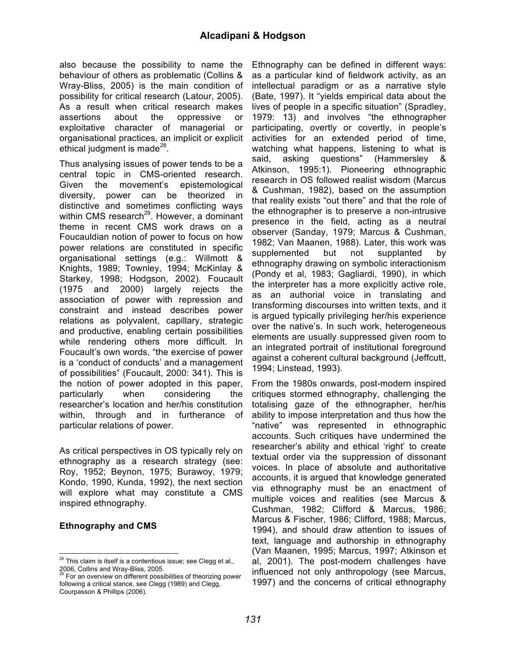also because the possibility to name the behaviour of others as problematic (Collins & Wray-Bliss, 2005) is the main condition of possibility for critical research (Latour, 2005). As a result when critical research makes assertions about the oppressive or exploitative character of managerial or organisational practices, an implicit or explicit ethical judgment is made<sup>28</sup>.

Thus analysing issues of power tends to be a central topic in CMS-oriented research. Given the movement's epistemological diversity, power can be theorized in distinctive and sometimes conflicting ways within CMS research<sup>29</sup>. However, a dominant theme in recent CMS work draws on a Foucauldian notion of power to focus on how power relations are constituted in specific organisational settings (e.g.: Willmott & Knights, 1989; Townley, 1994; McKinlay & Starkey, 1998; Hodgson, 2002). Foucault (1975 and 2000) largely rejects the association of power with repression and constraint and instead describes power relations as polyvalent, capillary, strategic and productive, enabling certain possibilities while rendering others more difficult. In Foucault's own words, "the exercise of power is a 'conduct of conducts' and a management of possibilities" (Foucault, 2000: 341). This is the notion of power adopted in this paper, particularly when considering the researcher's location and her/his constitution within, through and in furtherance of particular relations of power.

As critical perspectives in OS typically rely on ethnography as a research strategy (see: Roy, 1952; Beynon, 1975; Burawoy, 1979; Kondo, 1990, Kunda, 1992), the next section will explore what may constitute a CMS inspired ethnography.

#### **Ethnography and CMS**

Ethnography can be defined in different ways: as a particular kind of fieldwork activity, as an intellectual paradigm or as a narrative style (Bate, 1997). It "yields empirical data about the lives of people in a specific situation" (Spradley, 1979: 13) and involves "the ethnographer participating, overtly or covertly, in people's activities for an extended period of time, watching what happens, listening to what is said, asking questions" (Hammersley & Atkinson, 1995:1). Pioneering ethnographic research in OS followed realist wisdom (Marcus & Cushman, 1982), based on the assumption that reality exists "out there" and that the role of the ethnographer is to preserve a non-intrusive presence in the field, acting as a neutral observer (Sanday, 1979; Marcus & Cushman, 1982; Van Maanen, 1988). Later, this work was supplemented but not supplanted by ethnography drawing on symbolic interactionism (Pondy et al, 1983; Gagliardi, 1990), in which the interpreter has a more explicitly active role, as an authorial voice in translating and transforming discourses into written texts, and it is argued typically privileging her/his experience over the native's. In such work, heterogeneous elements are usually suppressed given room to an integrated portrait of institutional foreground against a coherent cultural background (Jeffcutt, 1994; Linstead, 1993).

From the 1980s onwards, post-modern inspired critiques stormed ethnography, challenging the totalising gaze of the ethnographer, her/his ability to impose interpretation and thus how the "native" was represented in ethnographic accounts. Such critiques have undermined the researcher's ability and ethical 'right' to create textual order via the suppression of dissonant voices. In place of absolute and authoritative accounts, it is argued that knowledge generated via ethnography must be an enactment of multiple voices and realities (see Marcus & Cushman, 1982; Clifford & Marcus, 1986; Marcus & Fischer, 1986; Clifford, 1988; Marcus, 1994), and should draw attention to issues of text, language and authorship in ethnography (Van Maanen, 1995; Marcus, 1997; Atkinson et al, 2001). The post-modern challenges have influenced not only anthropology (see Marcus, 1997) and the concerns of critical ethnography

 $28$  This claim is itself is a contentious issue; see Clegg et al., 2006, Collins and Wray-Bliss, 2005.<br><sup>29</sup> For an overview on different possibilities of theorizing power

following a critical stance, see Clegg (1989) and Clegg, Courpasson & Phillips (2006).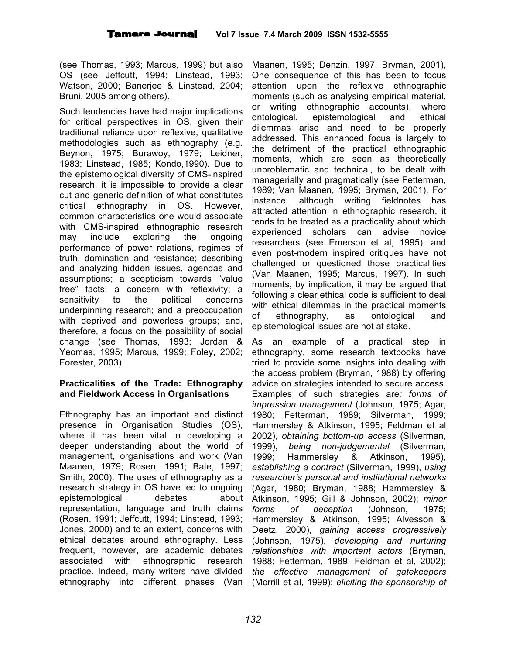(see Thomas, 1993; Marcus, 1999) but also OS (see Jeffcutt, 1994; Linstead, 1993; Watson, 2000; Banerjee & Linstead, 2004; Bruni, 2005 among others).

Such tendencies have had major implications for critical perspectives in OS, given their traditional reliance upon reflexive, qualitative methodologies such as ethnography (e.g. Beynon, 1975; Burawoy, 1979; Leidner, 1983; Linstead, 1985; Kondo,1990). Due to the epistemological diversity of CMS-inspired research, it is impossible to provide a clear cut and generic definition of what constitutes critical ethnography in OS. However, common characteristics one would associate with CMS-inspired ethnographic research may include exploring the ongoing performance of power relations, regimes of truth, domination and resistance; describing and analyzing hidden issues, agendas and assumptions; a scepticism towards "value free" facts; a concern with reflexivity; a sensitivity to the political concerns underpinning research; and a preoccupation with deprived and powerless groups; and, therefore, a focus on the possibility of social change (see Thomas, 1993; Jordan & Yeomas, 1995; Marcus, 1999; Foley, 2002; Forester, 2003).

### **Practicalities of the Trade: Ethnography and Fieldwork Access in Organisations**

Ethnography has an important and distinct presence in Organisation Studies (OS), where it has been vital to developing a deeper understanding about the world of management, organisations and work (Van Maanen, 1979; Rosen, 1991; Bate, 1997; Smith, 2000). The uses of ethnography as a research strategy in OS have led to ongoing epistemological debates about representation, language and truth claims (Rosen, 1991; Jeffcutt, 1994; Linstead, 1993; Jones, 2000) and to an extent, concerns with ethical debates around ethnography. Less frequent, however, are academic debates associated with ethnographic research practice. Indeed, many writers have divided ethnography into different phases (Van

Maanen, 1995; Denzin, 1997, Bryman, 2001), One consequence of this has been to focus attention upon the reflexive ethnographic moments (such as analysing empirical material, or writing ethnographic accounts), where ontological, epistemological and ethical dilemmas arise and need to be properly addressed. This enhanced focus is largely to the detriment of the practical ethnographic moments, which are seen as theoretically unproblematic and technical, to be dealt with managerially and pragmatically (see Fetterman, 1989; Van Maanen, 1995; Bryman, 2001). For instance, although writing fieldnotes has attracted attention in ethnographic research, it tends to be treated as a practicality about which experienced scholars can advise novice researchers (see Emerson et al, 1995), and even post-modern inspired critiques have not challenged or questioned those practicalities (Van Maanen, 1995; Marcus, 1997). In such moments, by implication, it may be argued that following a clear ethical code is sufficient to deal with ethical dilemmas in the practical moments of ethnography, as ontological and epistemological issues are not at stake.

As an example of a practical step in ethnography, some research textbooks have tried to provide some insights into dealing with the access problem (Bryman, 1988) by offering advice on strategies intended to secure access. Examples of such strategies are*: forms of impression management* (Johnson, 1975; Agar, 1980; Fetterman, 1989; Silverman, 1999; Hammersley & Atkinson, 1995; Feldman et al 2002), *obtaining bottom-up access* (Silverman, 1999), *being non-judgemental* (Silverman, 1999; Hammersley & Atkinson, 1995), *establishing a contract* (Silverman, 1999), *using researcher's personal and institutional networks* (Agar, 1980; Bryman, 1988; Hammersley & Atkinson, 1995; Gill & Johnson, 2002); *minor forms of deception* (Johnson, 1975; Hammersley & Atkinson, 1995; Alvesson & Deetz, 2000), *gaining access progressively* (Johnson, 1975), *developing and nurturing relationships with important actors* (Bryman, 1988; Fetterman, 1989; Feldman et al, 2002); *the effective management of gatekeepers* (Morrill et al, 1999); *eliciting the sponsorship of*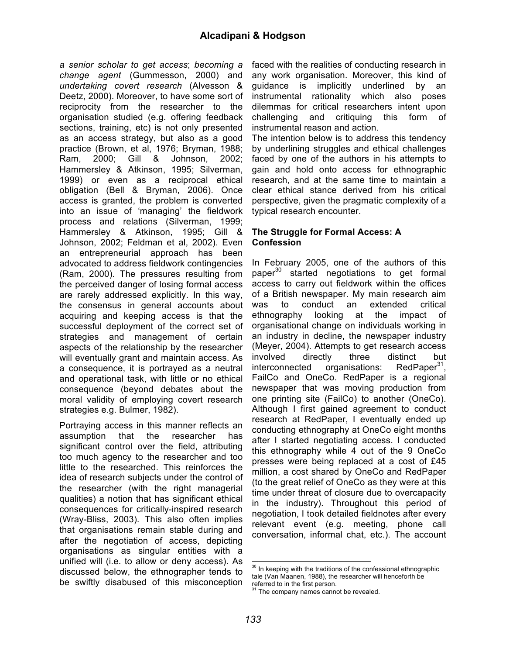*a senior scholar to get access*; *becoming a change agent* (Gummesson, 2000) and *undertaking covert research* (Alvesson & Deetz, 2000). Moreover, to have some sort of reciprocity from the researcher to the organisation studied (e.g. offering feedback sections, training, etc) is not only presented as an access strategy, but also as a good practice (Brown, et al, 1976; Bryman, 1988; Ram, 2000; Gill & Johnson, 2002; Hammersley & Atkinson, 1995; Silverman, 1999) or even as a reciprocal ethical obligation (Bell & Bryman, 2006). Once access is granted, the problem is converted into an issue of 'managing' the fieldwork process and relations (Silverman, 1999; Hammersley & Atkinson, 1995; Gill & Johnson, 2002; Feldman et al, 2002). Even an entrepreneurial approach has been advocated to address fieldwork contingencies (Ram, 2000). The pressures resulting from the perceived danger of losing formal access are rarely addressed explicitly. In this way, the consensus in general accounts about acquiring and keeping access is that the successful deployment of the correct set of strategies and management of certain aspects of the relationship by the researcher will eventually grant and maintain access. As a consequence, it is portrayed as a neutral and operational task, with little or no ethical consequence (beyond debates about the moral validity of employing covert research strategies e.g. Bulmer, 1982).

Portraying access in this manner reflects an assumption that the researcher has significant control over the field, attributing too much agency to the researcher and too little to the researched. This reinforces the idea of research subjects under the control of the researcher (with the right managerial qualities) a notion that has significant ethical consequences for critically-inspired research (Wray-Bliss, 2003). This also often implies that organisations remain stable during and after the negotiation of access, depicting organisations as singular entities with a unified will (i.e. to allow or deny access). As discussed below, the ethnographer tends to be swiftly disabused of this misconception

faced with the realities of conducting research in any work organisation. Moreover, this kind of guidance is implicitly underlined by an instrumental rationality which also poses dilemmas for critical researchers intent upon challenging and critiquing this form of instrumental reason and action.

The intention below is to address this tendency by underlining struggles and ethical challenges faced by one of the authors in his attempts to gain and hold onto access for ethnographic research, and at the same time to maintain a clear ethical stance derived from his critical perspective, given the pragmatic complexity of a typical research encounter.

#### **The Struggle for Formal Access: A Confession**

In February 2005, one of the authors of this paper<sup>30</sup> started negotiations to get formal access to carry out fieldwork within the offices of a British newspaper. My main research aim was to conduct an extended critical ethnography looking at the impact of organisational change on individuals working in an industry in decline, the newspaper industry (Meyer, 2004). Attempts to get research access involved directly three distinct but interconnected organisations: 31 , FailCo and OneCo. RedPaper is a regional newspaper that was moving production from one printing site (FailCo) to another (OneCo). Although I first gained agreement to conduct research at RedPaper, I eventually ended up conducting ethnography at OneCo eight months after I started negotiating access. I conducted this ethnography while 4 out of the 9 OneCo presses were being replaced at a cost of £45 million, a cost shared by OneCo and RedPaper (to the great relief of OneCo as they were at this time under threat of closure due to overcapacity in the industry). Throughout this period of negotiation, I took detailed fieldnotes after every relevant event (e.g. meeting, phone call conversation, informal chat, etc.). The account

 $30$  In keeping with the traditions of the confessional ethnographic tale (Van Maanen, 1988), the researcher will henceforth be referred to in the first person.

The company names cannot be revealed.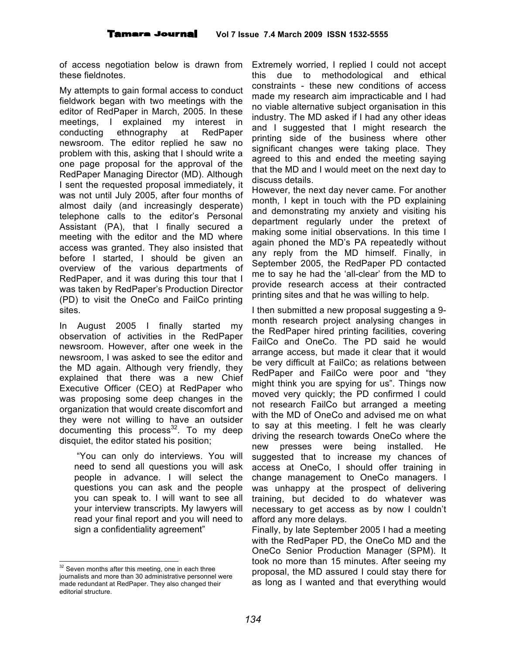of access negotiation below is drawn from these fieldnotes.

My attempts to gain formal access to conduct fieldwork began with two meetings with the editor of RedPaper in March, 2005. In these meetings, I explained my interest in conducting ethnography at RedPaper newsroom. The editor replied he saw no problem with this, asking that I should write a one page proposal for the approval of the RedPaper Managing Director (MD). Although I sent the requested proposal immediately, it was not until July 2005, after four months of almost daily (and increasingly desperate) telephone calls to the editor's Personal Assistant (PA), that I finally secured a meeting with the editor and the MD where access was granted. They also insisted that before I started, I should be given an overview of the various departments of RedPaper, and it was during this tour that I was taken by RedPaper's Production Director (PD) to visit the OneCo and FailCo printing sites.

In August 2005 I finally started my observation of activities in the RedPaper newsroom. However, after one week in the newsroom, I was asked to see the editor and the MD again. Although very friendly, they explained that there was a new Chief Executive Officer (CEO) at RedPaper who was proposing some deep changes in the organization that would create discomfort and they were not willing to have an outsider documenting this process<sup>32</sup>. To my deep disquiet, the editor stated his position;

"You can only do interviews. You will need to send all questions you will ask people in advance. I will select the questions you can ask and the people you can speak to. I will want to see all your interview transcripts. My lawyers will read your final report and you will need to sign a confidentiality agreement"

Extremely worried, I replied I could not accept this due to methodological and ethical constraints - these new conditions of access made my research aim impracticable and I had no viable alternative subject organisation in this industry. The MD asked if I had any other ideas and I suggested that I might research the printing side of the business where other significant changes were taking place. They agreed to this and ended the meeting saying that the MD and I would meet on the next day to discuss details.

However, the next day never came. For another month, I kept in touch with the PD explaining and demonstrating my anxiety and visiting his department regularly under the pretext of making some initial observations. In this time I again phoned the MD's PA repeatedly without any reply from the MD himself. Finally, in September 2005, the RedPaper PD contacted me to say he had the 'all-clear' from the MD to provide research access at their contracted printing sites and that he was willing to help.

I then submitted a new proposal suggesting a 9 month research project analysing changes in the RedPaper hired printing facilities, covering FailCo and OneCo. The PD said he would arrange access, but made it clear that it would be very difficult at FailCo; as relations between RedPaper and FailCo were poor and "they might think you are spying for us". Things now moved very quickly; the PD confirmed I could not research FailCo but arranged a meeting with the MD of OneCo and advised me on what to say at this meeting. I felt he was clearly driving the research towards OneCo where the new presses were being installed. He suggested that to increase my chances of access at OneCo, I should offer training in change management to OneCo managers. I was unhappy at the prospect of delivering training, but decided to do whatever was necessary to get access as by now I couldn't afford any more delays.

Finally, by late September 2005 I had a meeting with the RedPaper PD, the OneCo MD and the OneCo Senior Production Manager (SPM). It took no more than 15 minutes. After seeing my proposal, the MD assured I could stay there for as long as I wanted and that everything would

<sup>&</sup>lt;sup>32</sup> Seven months after this meeting, one in each three journalists and more than 30 administrative personnel were made redundant at RedPaper. They also changed their editorial structure.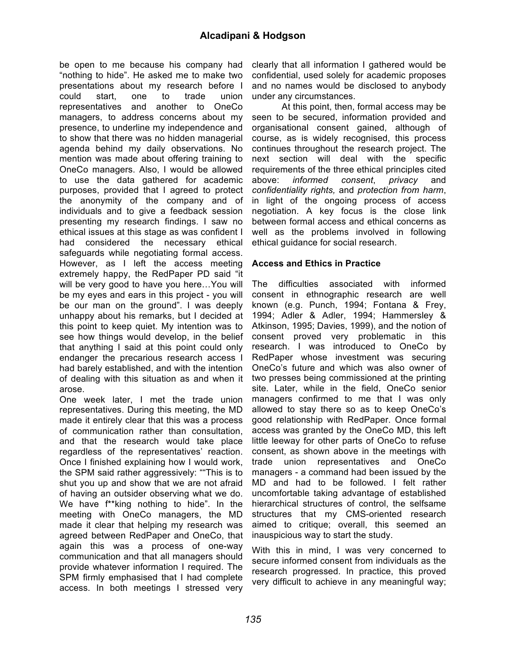be open to me because his company had "nothing to hide". He asked me to make two presentations about my research before I could start, one to trade union representatives and another to OneCo managers, to address concerns about my presence, to underline my independence and to show that there was no hidden managerial agenda behind my daily observations. No mention was made about offering training to OneCo managers. Also, I would be allowed to use the data gathered for academic purposes, provided that I agreed to protect the anonymity of the company and of individuals and to give a feedback session presenting my research findings. I saw no ethical issues at this stage as was confident I had considered the necessary ethical safeguards while negotiating formal access. However, as I left the access meeting extremely happy, the RedPaper PD said "it will be very good to have you here…You will be my eyes and ears in this project - you will be our man on the ground". I was deeply unhappy about his remarks, but I decided at this point to keep quiet. My intention was to see how things would develop, in the belief that anything I said at this point could only endanger the precarious research access I had barely established, and with the intention of dealing with this situation as and when it arose.

One week later, I met the trade union representatives. During this meeting, the MD made it entirely clear that this was a process of communication rather than consultation, and that the research would take place regardless of the representatives' reaction. Once I finished explaining how I would work, the SPM said rather aggressively: ""This is to shut you up and show that we are not afraid of having an outsider observing what we do. We have f\*\*king nothing to hide". In the meeting with OneCo managers, the MD made it clear that helping my research was agreed between RedPaper and OneCo, that again this was a process of one-way communication and that all managers should provide whatever information I required. The SPM firmly emphasised that I had complete access. In both meetings I stressed very

clearly that all information I gathered would be confidential, used solely for academic proposes and no names would be disclosed to anybody under any circumstances.

At this point, then, formal access may be seen to be secured, information provided and organisational consent gained, although of course, as is widely recognised, this process continues throughout the research project. The next section will deal with the specific requirements of the three ethical principles cited above: *informed consent*, *privacy* and *confidentiality rights,* and *protection from harm*, in light of the ongoing process of access negotiation. A key focus is the close link between formal access and ethical concerns as well as the problems involved in following ethical guidance for social research.

#### **Access and Ethics in Practice**

The difficulties associated with informed consent in ethnographic research are well known (e.g. Punch, 1994; Fontana & Frey, 1994; Adler & Adler, 1994; Hammersley & Atkinson, 1995; Davies, 1999), and the notion of consent proved very problematic in this research. I was introduced to OneCo by RedPaper whose investment was securing OneCo's future and which was also owner of two presses being commissioned at the printing site. Later, while in the field, OneCo senior managers confirmed to me that I was only allowed to stay there so as to keep OneCo's good relationship with RedPaper. Once formal access was granted by the OneCo MD, this left little leeway for other parts of OneCo to refuse consent, as shown above in the meetings with trade union representatives and OneCo managers - a command had been issued by the MD and had to be followed. I felt rather uncomfortable taking advantage of established hierarchical structures of control, the selfsame structures that my CMS-oriented research aimed to critique; overall, this seemed an inauspicious way to start the study.

With this in mind, I was very concerned to secure informed consent from individuals as the research progressed. In practice, this proved very difficult to achieve in any meaningful way;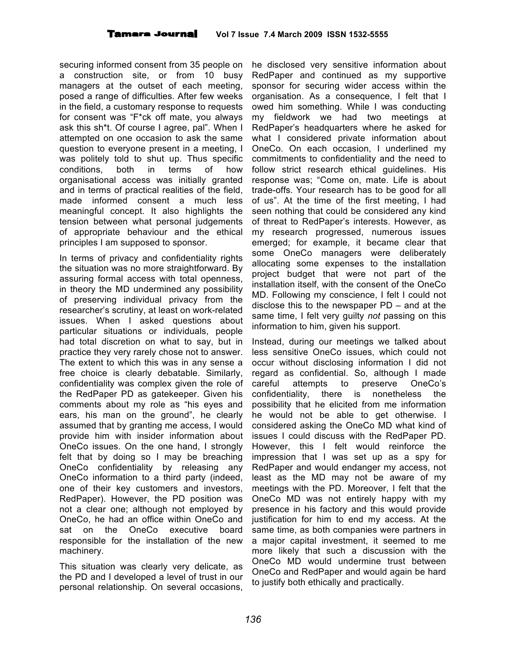securing informed consent from 35 people on a construction site, or from 10 busy managers at the outset of each meeting, posed a range of difficulties. After few weeks in the field, a customary response to requests for consent was "F\*ck off mate, you always ask this sh\*t. Of course I agree, pal". When I attempted on one occasion to ask the same question to everyone present in a meeting, I was politely told to shut up. Thus specific conditions, both in terms of how organisational access was initially granted and in terms of practical realities of the field, made informed consent a much less meaningful concept. It also highlights the tension between what personal judgements of appropriate behaviour and the ethical principles I am supposed to sponsor.

In terms of privacy and confidentiality rights the situation was no more straightforward. By assuring formal access with total openness, in theory the MD undermined any possibility of preserving individual privacy from the researcher's scrutiny, at least on work-related issues. When I asked questions about particular situations or individuals, people had total discretion on what to say, but in practice they very rarely chose not to answer. The extent to which this was in any sense a free choice is clearly debatable. Similarly, confidentiality was complex given the role of the RedPaper PD as gatekeeper. Given his comments about my role as "his eyes and ears, his man on the ground", he clearly assumed that by granting me access, I would provide him with insider information about OneCo issues. On the one hand, I strongly felt that by doing so I may be breaching OneCo confidentiality by releasing any OneCo information to a third party (indeed, one of their key customers and investors, RedPaper). However, the PD position was not a clear one; although not employed by OneCo, he had an office within OneCo and sat on the OneCo executive board responsible for the installation of the new machinery.

This situation was clearly very delicate, as the PD and I developed a level of trust in our personal relationship. On several occasions,

he disclosed very sensitive information about RedPaper and continued as my supportive sponsor for securing wider access within the organisation. As a consequence, I felt that I owed him something. While I was conducting my fieldwork we had two meetings at RedPaper's headquarters where he asked for what I considered private information about OneCo. On each occasion, I underlined my commitments to confidentiality and the need to follow strict research ethical guidelines. His response was; "Come on, mate. Life is about trade-offs. Your research has to be good for all of us". At the time of the first meeting, I had seen nothing that could be considered any kind of threat to RedPaper's interests. However, as my research progressed, numerous issues emerged; for example, it became clear that some OneCo managers were deliberately allocating some expenses to the installation project budget that were not part of the installation itself, with the consent of the OneCo MD. Following my conscience, I felt I could not disclose this to the newspaper PD – and at the same time, I felt very guilty *not* passing on this information to him, given his support.

Instead, during our meetings we talked about less sensitive OneCo issues, which could not occur without disclosing information I did not regard as confidential. So, although I made careful attempts to preserve OneCo's confidentiality, there is nonetheless the possibility that he elicited from me information he would not be able to get otherwise. I considered asking the OneCo MD what kind of issues I could discuss with the RedPaper PD. However, this I felt would reinforce the impression that I was set up as a spy for RedPaper and would endanger my access, not least as the MD may not be aware of my meetings with the PD. Moreover, I felt that the OneCo MD was not entirely happy with my presence in his factory and this would provide justification for him to end my access. At the same time, as both companies were partners in a major capital investment, it seemed to me more likely that such a discussion with the OneCo MD would undermine trust between OneCo and RedPaper and would again be hard to justify both ethically and practically.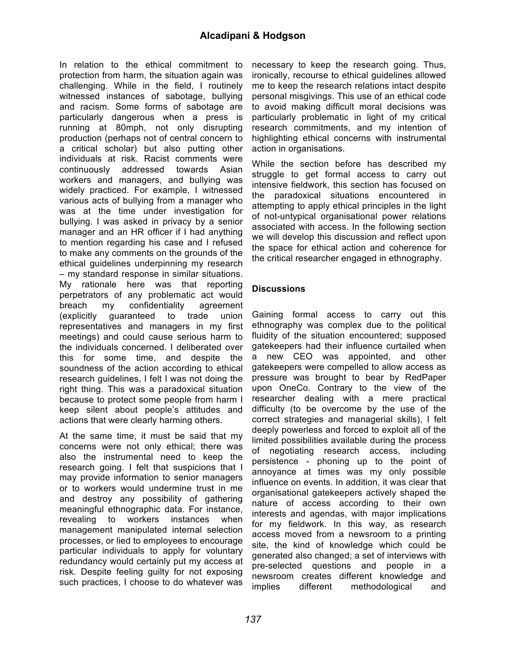In relation to the ethical commitment to protection from harm, the situation again was challenging. While in the field, I routinely witnessed instances of sabotage, bullying and racism. Some forms of sabotage are particularly dangerous when a press is running at 80mph, not only disrupting production (perhaps not of central concern to a critical scholar) but also putting other individuals at risk. Racist comments were continuously addressed towards Asian workers and managers, and bullying was widely practiced. For example, I witnessed various acts of bullying from a manager who was at the time under investigation for bullying. I was asked in privacy by a senior manager and an HR officer if I had anything to mention regarding his case and I refused to make any comments on the grounds of the ethical guidelines underpinning my research – my standard response in similar situations. My rationale here was that reporting perpetrators of any problematic act would breach my confidentiality agreement (explicitly guaranteed to trade union representatives and managers in my first meetings) and could cause serious harm to the individuals concerned. I deliberated over this for some time, and despite the soundness of the action according to ethical research guidelines, I felt I was not doing the right thing. This was a paradoxical situation because to protect some people from harm I keep silent about people's attitudes and actions that were clearly harming others.

At the same time, it must be said that my concerns were not only ethical; there was also the instrumental need to keep the research going. I felt that suspicions that I may provide information to senior managers or to workers would undermine trust in me and destroy any possibility of gathering meaningful ethnographic data. For instance, revealing to workers instances when management manipulated internal selection processes, or lied to employees to encourage particular individuals to apply for voluntary redundancy would certainly put my access at risk. Despite feeling guilty for not exposing such practices, I choose to do whatever was

necessary to keep the research going. Thus, ironically, recourse to ethical guidelines allowed me to keep the research relations intact despite personal misgivings. This use of an ethical code to avoid making difficult moral decisions was particularly problematic in light of my critical research commitments, and my intention of highlighting ethical concerns with instrumental action in organisations.

While the section before has described my struggle to get formal access to carry out intensive fieldwork, this section has focused on the paradoxical situations encountered in attempting to apply ethical principles in the light of not-untypical organisational power relations associated with access. In the following section we will develop this discussion and reflect upon the space for ethical action and coherence for the critical researcher engaged in ethnography.

# **Discussions**

Gaining formal access to carry out this ethnography was complex due to the political fluidity of the situation encountered; supposed gatekeepers had their influence curtailed when a new CEO was appointed, and other gatekeepers were compelled to allow access as pressure was brought to bear by RedPaper upon OneCo. Contrary to the view of the researcher dealing with a mere practical difficulty (to be overcome by the use of the correct strategies and managerial skills), I felt deeply powerless and forced to exploit all of the limited possibilities available during the process of negotiating research access, including persistence - phoning up to the point of annoyance at times was my only possible influence on events. In addition, it was clear that organisational gatekeepers actively shaped the nature of access according to their own interests and agendas, with major implications for my fieldwork. In this way, as research access moved from a newsroom to a printing site, the kind of knowledge which could be generated also changed; a set of interviews with pre-selected questions and people in a newsroom creates different knowledge and implies different methodological and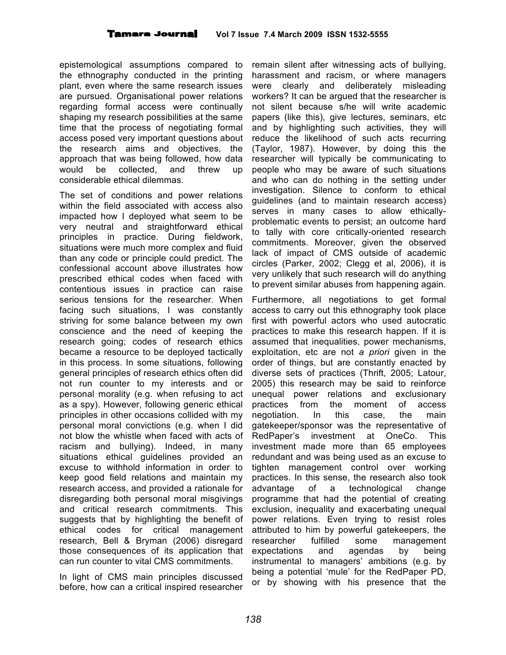epistemological assumptions compared to the ethnography conducted in the printing plant, even where the same research issues are pursued. Organisational power relations regarding formal access were continually shaping my research possibilities at the same time that the process of negotiating formal access posed very important questions about the research aims and objectives, the approach that was being followed, how data would be collected, and threw up considerable ethical dilemmas.

The set of conditions and power relations within the field associated with access also impacted how I deployed what seem to be very neutral and straightforward ethical principles in practice. During fieldwork, situations were much more complex and fluid than any code or principle could predict. The confessional account above illustrates how prescribed ethical codes when faced with contentious issues in practice can raise serious tensions for the researcher. When facing such situations, I was constantly striving for some balance between my own conscience and the need of keeping the research going; codes of research ethics became a resource to be deployed tactically in this process. In some situations, following general principles of research ethics often did not run counter to my interests and or personal morality (e.g. when refusing to act as a spy). However, following generic ethical principles in other occasions collided with my personal moral convictions (e.g. when I did not blow the whistle when faced with acts of racism and bullying). Indeed, in many situations ethical guidelines provided an excuse to withhold information in order to keep good field relations and maintain my research access, and provided a rationale for disregarding both personal moral misgivings and critical research commitments. This suggests that by highlighting the benefit of ethical codes for critical management research, Bell & Bryman (2006) disregard those consequences of its application that can run counter to vital CMS commitments.

In light of CMS main principles discussed before, how can a critical inspired researcher

remain silent after witnessing acts of bullying, harassment and racism, or where managers were clearly and deliberately misleading workers? It can be argued that the researcher is not silent because s/he will write academic papers (like this), give lectures, seminars, etc and by highlighting such activities, they will reduce the likelihood of such acts recurring (Taylor, 1987). However, by doing this the researcher will typically be communicating to people who may be aware of such situations and who can do nothing in the setting under investigation. Silence to conform to ethical guidelines (and to maintain research access) serves in many cases to allow ethicallyproblematic events to persist; an outcome hard to tally with core critically-oriented research commitments. Moreover, given the observed lack of impact of CMS outside of academic circles (Parker, 2002; Clegg et al, 2006), it is very unlikely that such research will do anything to prevent similar abuses from happening again.

Furthermore, all negotiations to get formal access to carry out this ethnography took place first with powerful actors who used autocratic practices to make this research happen. If it is assumed that inequalities, power mechanisms, exploitation, etc are not *a priori* given in the order of things, but are constantly enacted by diverse sets of practices (Thrift, 2005; Latour, 2005) this research may be said to reinforce unequal power relations and exclusionary practices from the moment of access negotiation. In this case, the main gatekeeper/sponsor was the representative of RedPaper's investment at OneCo. This investment made more than 65 employees redundant and was being used as an excuse to tighten management control over working practices. In this sense, the research also took advantage of a technological change programme that had the potential of creating exclusion, inequality and exacerbating unequal power relations. Even trying to resist roles attributed to him by powerful gatekeepers, the researcher fulfilled some management expectations and agendas by being instrumental to managers' ambitions (e.g. by being a potential 'mule' for the RedPaper PD, or by showing with his presence that the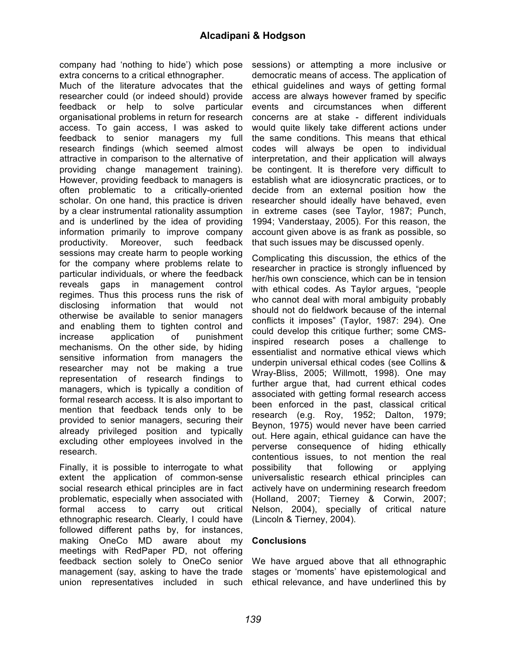company had 'nothing to hide') which pose extra concerns to a critical ethnographer.

Much of the literature advocates that the researcher could (or indeed should) provide feedback or help to solve particular organisational problems in return for research access. To gain access, I was asked to feedback to senior managers my full research findings (which seemed almost attractive in comparison to the alternative of providing change management training). However, providing feedback to managers is often problematic to a critically-oriented scholar. On one hand, this practice is driven by a clear instrumental rationality assumption and is underlined by the idea of providing information primarily to improve company productivity. Moreover, such feedback sessions may create harm to people working for the company where problems relate to particular individuals, or where the feedback reveals gaps in management control regimes. Thus this process runs the risk of disclosing information that would not otherwise be available to senior managers and enabling them to tighten control and increase application of punishment mechanisms. On the other side, by hiding sensitive information from managers the researcher may not be making a true representation of research findings to managers, which is typically a condition of formal research access. It is also important to mention that feedback tends only to be provided to senior managers, securing their already privileged position and typically excluding other employees involved in the research.

Finally, it is possible to interrogate to what extent the application of common-sense social research ethical principles are in fact problematic, especially when associated with formal access to carry out critical ethnographic research. Clearly, I could have followed different paths by, for instances, making OneCo MD aware about my meetings with RedPaper PD, not offering feedback section solely to OneCo senior management (say, asking to have the trade union representatives included in such

sessions) or attempting a more inclusive or democratic means of access. The application of ethical guidelines and ways of getting formal access are always however framed by specific events and circumstances when different concerns are at stake - different individuals would quite likely take different actions under the same conditions. This means that ethical codes will always be open to individual interpretation, and their application will always be contingent. It is therefore very difficult to establish what are idiosyncratic practices, or to decide from an external position how the researcher should ideally have behaved, even in extreme cases (see Taylor, 1987; Punch, 1994; Vanderstaay, 2005). For this reason, the account given above is as frank as possible, so that such issues may be discussed openly.

Complicating this discussion, the ethics of the researcher in practice is strongly influenced by her/his own conscience, which can be in tension with ethical codes. As Taylor argues, "people who cannot deal with moral ambiguity probably should not do fieldwork because of the internal conflicts it imposes" (Taylor, 1987: 294). One could develop this critique further; some CMSinspired research poses a challenge to essentialist and normative ethical views which underpin universal ethical codes (see Collins & Wray-Bliss, 2005; Willmott, 1998). One may further argue that, had current ethical codes associated with getting formal research access been enforced in the past, classical critical research (e.g. Roy, 1952; Dalton, 1979; Beynon, 1975) would never have been carried out. Here again, ethical guidance can have the perverse consequence of hiding ethically contentious issues, to not mention the real possibility that following or applying universalistic research ethical principles can actively have on undermining research freedom (Holland, 2007; Tierney & Corwin, 2007; Nelson, 2004), specially of critical nature (Lincoln & Tierney, 2004).

# **Conclusions**

We have argued above that all ethnographic stages or 'moments' have epistemological and ethical relevance, and have underlined this by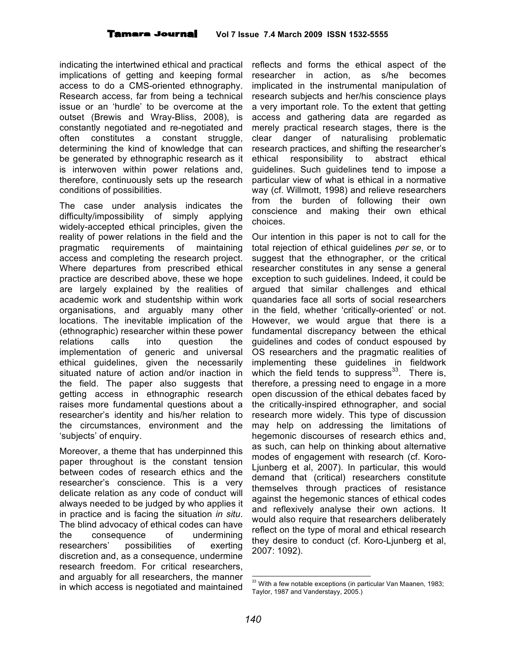indicating the intertwined ethical and practical implications of getting and keeping formal access to do a CMS-oriented ethnography. Research access, far from being a technical issue or an 'hurdle' to be overcome at the outset (Brewis and Wray-Bliss, 2008), is constantly negotiated and re-negotiated and often constitutes a constant struggle, determining the kind of knowledge that can be generated by ethnographic research as it is interwoven within power relations and, therefore, continuously sets up the research conditions of possibilities.

The case under analysis indicates the difficulty/impossibility of simply applying widely-accepted ethical principles, given the reality of power relations in the field and the pragmatic requirements of maintaining access and completing the research project. Where departures from prescribed ethical practice are described above, these we hope are largely explained by the realities of academic work and studentship within work organisations, and arguably many other locations. The inevitable implication of the (ethnographic) researcher within these power relations calls into question the implementation of generic and universal ethical guidelines, given the necessarily situated nature of action and/or inaction in the field. The paper also suggests that getting access in ethnographic research raises more fundamental questions about a researcher's identity and his/her relation to the circumstances, environment and the 'subjects' of enquiry.

Moreover, a theme that has underpinned this paper throughout is the constant tension between codes of research ethics and the researcher's conscience. This is a very delicate relation as any code of conduct will always needed to be judged by who applies it in practice and is facing the situation *in situ*. The blind advocacy of ethical codes can have the consequence of undermining researchers' possibilities of exerting discretion and, as a consequence, undermine research freedom. For critical researchers, and arguably for all researchers, the manner in which access is negotiated and maintained

reflects and forms the ethical aspect of the researcher in action, as s/he becomes implicated in the instrumental manipulation of research subjects and her/his conscience plays a very important role. To the extent that getting access and gathering data are regarded as merely practical research stages, there is the clear danger of naturalising problematic research practices, and shifting the researcher's ethical responsibility to abstract ethical guidelines. Such guidelines tend to impose a particular view of what is ethical in a normative way (cf. Willmott, 1998) and relieve researchers from the burden of following their own conscience and making their own ethical choices.

Our intention in this paper is not to call for the total rejection of ethical guidelines *per se*, or to suggest that the ethnographer, or the critical researcher constitutes in any sense a general exception to such guidelines. Indeed, it could be argued that similar challenges and ethical quandaries face all sorts of social researchers in the field, whether 'critically-oriented' or not. However, we would argue that there is a fundamental discrepancy between the ethical guidelines and codes of conduct espoused by OS researchers and the pragmatic realities of implementing these guidelines in fieldwork which the field tends to suppress $^{33}$ . There is, therefore, a pressing need to engage in a more open discussion of the ethical debates faced by the critically-inspired ethnographer, and social research more widely. This type of discussion may help on addressing the limitations of hegemonic discourses of research ethics and, as such, can help on thinking about alternative modes of engagement with research (cf. Koro-Ljunberg et al, 2007). In particular, this would demand that (critical) researchers constitute themselves through practices of resistance against the hegemonic stances of ethical codes and reflexively analyse their own actions. It would also require that researchers deliberately reflect on the type of moral and ethical research they desire to conduct (cf. Koro-Ljunberg et al, 2007: 1092).

<sup>&</sup>lt;sup>33</sup> With a few notable exceptions (in particular Van Maanen, 1983; Taylor, 1987 and Vanderstayy, 2005.)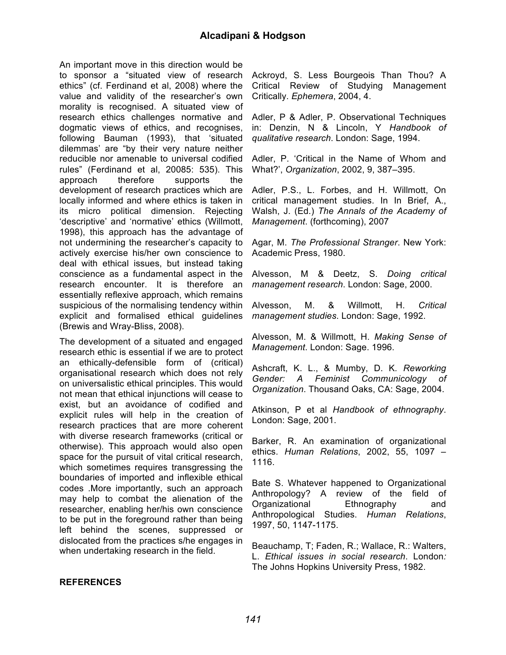An important move in this direction would be to sponsor a "situated view of research ethics" (cf. Ferdinand et al, 2008) where the value and validity of the researcher's own morality is recognised. A situated view of research ethics challenges normative and dogmatic views of ethics, and recognises, following Bauman (1993), that 'situated dilemmas' are "by their very nature neither reducible nor amenable to universal codified rules" (Ferdinand et al, 20085: 535). This approach therefore supports the development of research practices which are locally informed and where ethics is taken in its micro political dimension. Rejecting 'descriptive' and 'normative' ethics (Willmott, 1998), this approach has the advantage of not undermining the researcher's capacity to actively exercise his/her own conscience to deal with ethical issues, but instead taking conscience as a fundamental aspect in the research encounter. It is therefore an essentially reflexive approach, which remains suspicious of the normalising tendency within explicit and formalised ethical guidelines (Brewis and Wray-Bliss, 2008).

The development of a situated and engaged research ethic is essential if we are to protect an ethically-defensible form of (critical) organisational research which does not rely on universalistic ethical principles. This would not mean that ethical injunctions will cease to exist, but an avoidance of codified and explicit rules will help in the creation of research practices that are more coherent with diverse research frameworks (critical or otherwise). This approach would also open space for the pursuit of vital critical research, which sometimes requires transgressing the boundaries of imported and inflexible ethical codes .More importantly, such an approach may help to combat the alienation of the researcher, enabling her/his own conscience to be put in the foreground rather than being left behind the scenes, suppressed or dislocated from the practices s/he engages in when undertaking research in the field.

Ackroyd, S. Less Bourgeois Than Thou? A Critical Review of Studying Management Critically. *Ephemera*, 2004, 4.

Adler, P & Adler, P. Observational Techniques in: Denzin, N & Lincoln, Y *Handbook of qualitative research*. London: Sage, 1994.

Adler, P. 'Critical in the Name of Whom and What?', *Organization*, 2002, 9, 387–395.

Adler, P.S., L. Forbes, and H. Willmott, On critical management studies. In In Brief, A., Walsh, J. (Ed.) *The Annals of the Academy of Management*. (forthcoming), 2007

Agar, M. *The Professional Stranger*. New York: Academic Press, 1980.

Alvesson, M & Deetz, S. *Doing critical management research*. London: Sage, 2000.

Alvesson, M. & Willmott, H. *Critical management studies*. London: Sage, 1992.

Alvesson, M. & Willmott, H. *Making Sense of Management*. London: Sage. 1996.

Ashcraft, K. L., & Mumby, D. K*. Reworking Gender: A Feminist Communicology of Organization*. Thousand Oaks, CA: Sage, 2004.

Atkinson, P et al *Handbook of ethnography*. London: Sage, 2001.

Barker, R. An examination of organizational ethics. *Human Relations*, 2002, 55, 1097 – 1116.

Bate S. Whatever happened to Organizational Anthropology? A review of the field of Organizational Ethnography and Anthropological Studies. *Human Relations*, 1997, 50, 1147-1175.

Beauchamp, T; Faden, R.; Wallace, R.: Walters, L. *Ethical issues in social research*. London*:* The Johns Hopkins University Press, 1982.

#### **REFERENCES**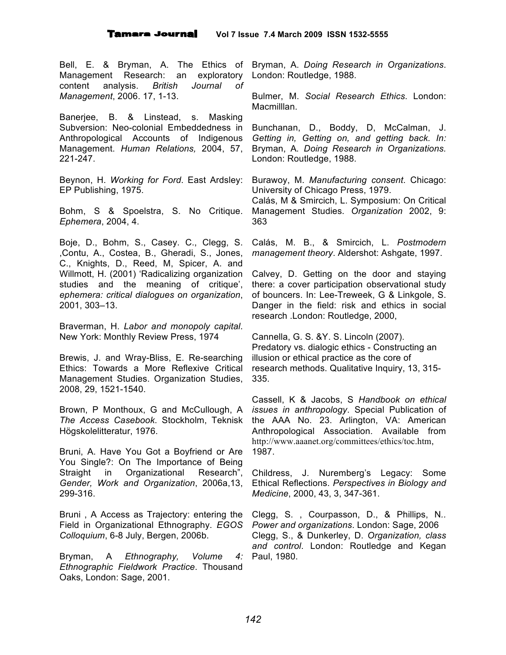Bell, E. & Bryman, A. The Ethics of Management Research: an exploratory content analysis. *British Journal of Management*, 2006. 17, 1-13.

Banerjee, B. & Linstead, s. Masking Subversion: Neo-colonial Embeddedness in Anthropological Accounts of Indigenous Management. *Human Relations,* 2004, 57, 221-247.

Beynon, H. *Working for Ford*. East Ardsley: EP Publishing, 1975.

Bohm, S & Spoelstra, S. No Critique. *Ephemera*, 2004, 4.

Boje, D., Bohm, S., Casey. C., Clegg, S. ,Contu, A., Costea, B., Gheradi, S., Jones, C., Knights, D., Reed, M, Spicer, A. and Willmott, H. (2001) 'Radicalizing organization studies and the meaning of critique', *ephemera: critical dialogues on organization*, 2001, 303–13.

Braverman, H. *Labor and monopoly capital*. New York: Monthly Review Press, 1974

Brewis, J. and Wray-Bliss, E. Re-searching Ethics: Towards a More Reflexive Critical Management Studies. Organization Studies, 2008, 29, 1521-1540.

Brown, P Monthoux, G and McCullough, A *The Access Casebook*. Stockholm, Teknisk Högskolelitteratur, 1976.

Bruni, A. Have You Got a Boyfriend or Are You Single?: On The Importance of Being Straight in Organizational Research", *Gender, Work and Organization*, 2006a,13, 299-316.

Bruni , A Access as Trajectory: entering the Field in Organizational Ethnography. *EGOS Colloquium*, 6-8 July, Bergen, 2006b.

Bryman, A *Ethnography, Volume 4: Ethnographic Fieldwork Practice*. Thousand Oaks, London: Sage, 2001.

Bryman, A. *Doing Research in Organizations*. London: Routledge, 1988.

Bulmer, M. *Social Research Ethics*. London: Macmilllan.

Bunchanan, D., Boddy, D, McCalman, J. *Getting in, Getting on, and getting back. In:* Bryman, A*. Doing Research in Organizations.* London: Routledge, 1988.

Burawoy, M. *Manufacturing consent*. Chicago: University of Chicago Press, 1979.

Calás, M & Smircich, L. Symposium: On Critical Management Studies. *Organization* 2002, 9: 363

Calás, M. B., & Smircich, L. *Postmodern management theory*. Aldershot: Ashgate, 1997.

Calvey, D. Getting on the door and staying there: a cover participation observational study of bouncers. In: Lee-Treweek, G & Linkgole, S. Danger in the field: risk and ethics in social research .London: Routledge, 2000,

Cannella, G. S. &Y. S. Lincoln (2007). Predatory vs. dialogic ethics - Constructing an illusion or ethical practice as the core of research methods. Qualitative Inquiry, 13, 315- 335.

Cassell, K & Jacobs, S *Handbook on ethical issues in anthropology*. Special Publication of the AAA No. 23. Arlington, VA: American Anthropological Association. Available from http://www.aaanet.org/committees/ethics/toc.htm, 1987.

Childress, J. Nuremberg's Legacy: Some Ethical Reflections. *Perspectives in Biology and Medicine*, 2000, 43, 3, 347-361.

Clegg, S. , Courpasson, D., & Phillips, N*.. Power and organizations*. London: Sage, 2006 Clegg, S., & Dunkerley, D. *Organization, class and control*. London: Routledge and Kegan 4: Paul, 1980.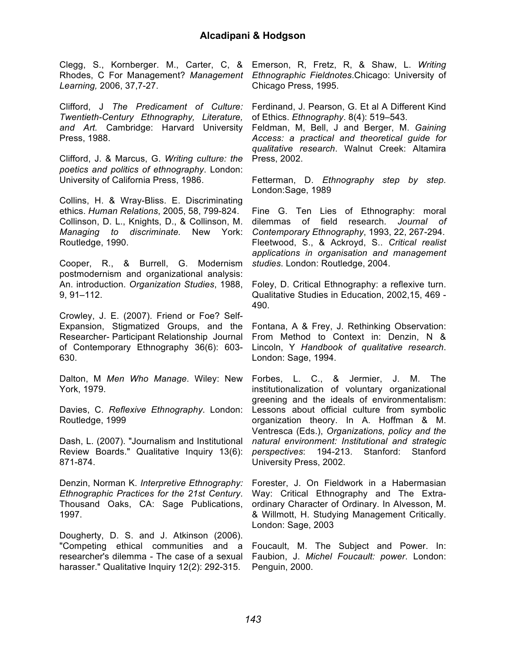*Learning,* 2006, 37,7-27.

Clifford, J *The Predicament of Culture: Twentieth-Century Ethnography, Literature, and Art.* Cambridge: Harvard University Press, 1988.

Clifford, J. & Marcus, G. *Writing culture: the poetics and politics of ethnography*. London: University of California Press, 1986.

Collins, H. & Wray-Bliss. E. Discriminating ethics. *Human Relations*, 2005, 58, 799-824. Collinson, D. L., Knights, D., & Collinson, M. *Managing to discriminate.* New York: Routledge, 1990.

Cooper, R., & Burrell, G. Modernism postmodernism and organizational analysis: An. introduction. *Organization Studies*, 1988, 9, 91–112.

Crowley, J. E. (2007). Friend or Foe? Self-Expansion, Stigmatized Groups, and the Researcher- Participant Relationship Journal of Contemporary Ethnography 36(6): 603- 630.

Dalton, M *Men Who Manage*. Wiley: New York, 1979.

Davies, C. *Reflexive Ethnography*. London: Routledge, 1999

Dash, L. (2007). "Journalism and Institutional Review Boards." Qualitative Inquiry 13(6): 871-874.

Denzin, Norman K. *Interpretive Ethnography: Ethnographic Practices for the 21st Century*. Thousand Oaks, CA: Sage Publications, 1997.

Dougherty, D. S. and J. Atkinson (2006). "Competing ethical communities and a researcher's dilemma - The case of a sexual harasser." Qualitative Inquiry 12(2): 292-315.

Clegg, S., Kornberger. M., Carter, C, & Emerson, R, Fretz, R, & Shaw, L. *Writing* Rhodes, C For Management? *Management Ethnographic Fieldnotes*.Chicago: University of Chicago Press, 1995.

> Ferdinand, J. Pearson, G. Et al A Different Kind of Ethics. *Ethnography*. 8(4): 519–543.

> Feldman, M, Bell, J and Berger, M. *Gaining Access: a practical and theoretical guide for qualitative research*. Walnut Creek: Altamira Press, 2002.

> Fetterman, D. *Ethnography step by step.* London:Sage, 1989

> Fine G. Ten Lies of Ethnography: moral dilemmas of field research. *Journal of Contemporary Ethnography*, 1993, 22, 267-294. Fleetwood, S., & Ackroyd, S.. *Critical realist applications in organisation and management studies*. London: Routledge, 2004.

> Foley, D. Critical Ethnography: a reflexive turn. Qualitative Studies in Education, 2002,15, 469 - 490.

> Fontana, A & Frey, J. Rethinking Observation: From Method to Context in: Denzin, N & Lincoln, Y *Handbook of qualitative research*. London: Sage, 1994.

> Forbes, L. C., & Jermier, J. M. The institutionalization of voluntary organizational greening and the ideals of environmentalism: Lessons about official culture from symbolic organization theory. In A. Hoffman & M. Ventresca (Eds.), *Organizations, policy and the natural environment: Institutional and strategic perspectives*: 194-213. Stanford: Stanford University Press, 2002.

> Forester, J. On Fieldwork in a Habermasian Way: Critical Ethnography and The Extraordinary Character of Ordinary. In Alvesson, M. & Willmott, H. Studying Management Critically. London: Sage, 2003

> Foucault, M. The Subject and Power. In: Faubion, J. *Michel Foucault: power*. London: Penguin, 2000.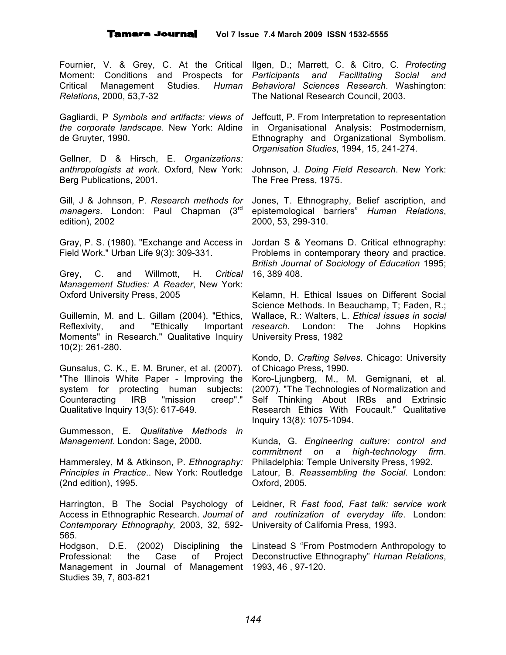Fournier, V. & Grey, C. At the Critical Critical Management Studies. *Relations*, 2000, 53,7-32

*the corporate landscape*. New York: Aldine de Gruyter, 1990.

Gellner, D & Hirsch, E. *Organizations: anthropologists at work*. Oxford, New York: Berg Publications, 2001.

Gill, J & Johnson, P. *Research methods for managers*. London: Paul Chapman (3rd edition), 2002

Gray, P. S. (1980). "Exchange and Access in Field Work." Urban Life 9(3): 309-331.

Grey, C. and Willmott, H. *Critical Management Studies: A Reader*, New York: Oxford University Press, 2005

Guillemin, M. and L. Gillam (2004). "Ethics, Reflexivity, and "Ethically Important Moments" in Research." Qualitative Inquiry 10(2): 261-280.

Gunsalus, C. K., E. M. Bruner, et al. (2007). "The Illinois White Paper - Improving the system for protecting human subjects: Counteracting IRB "mission creep"." Qualitative Inquiry 13(5): 617-649.

Gummesson, E. *Qualitative Methods in Management*. London: Sage, 2000.

Hammersley, M & Atkinson, P. *Ethnography: Principles in Practice*.. New York: Routledge (2nd edition), 1995.

Harrington, B The Social Psychology of Access in Ethnographic Research. *Journal of Contemporary Ethnography,* 2003, 32, 592- 565.

Professional: the Case of Management in Journal of Management 1993, 46 , 97-120.Studies 39, 7, 803-821

Moment: Conditions and Prospects for *Participants and Facilitating Social and* Ilgen, D.; Marrett, C. & Citro, C*. Protecting Behavioral Sciences Research*. Washington: The National Research Council, 2003.

Gagliardi, P *Symbols and artifacts: views of* Jeffcutt, P. From Interpretation to representation in Organisational Analysis: Postmodernism, Ethnography and Organizational Symbolism. *Organisation Studies*, 1994, 15, 241-274.

> Johnson, J. *Doing Field Research*. New York: The Free Press, 1975.

> Jones, T. Ethnography, Belief ascription, and epistemological barriers" *Human Relations*, 2000, 53, 299-310.

> Jordan S & Yeomans D. Critical ethnography: Problems in contemporary theory and practice. *British Journal of Sociology of Education* 1995; 16, 389 408.

> Kelamn, H. Ethical Issues on Different Social Science Methods. In Beauchamp, T; Faden, R.; Wallace, R.: Walters, L. *Ethical issues in social research*. London: The Johns Hopkins University Press, 1982

> Kondo, D. *Crafting Selves*. Chicago: University of Chicago Press, 1990.

> Koro-Ljungberg, M., M. Gemignani, et al. (2007). "The Technologies of Normalization and Self Thinking About IRBs and Extrinsic Research Ethics With Foucault." Qualitative Inquiry 13(8): 1075-1094.

> Kunda, G*. Engineering culture: control and commitment on a high-technology firm*. Philadelphia: Temple University Press, 1992. Latour, B. *Reassembling the Social*. London: Oxford, 2005.

> Leidner, R *Fast food, Fast talk: service work and routinization of everyday life*. London: University of California Press, 1993.

Hodgson, D.E. (2002) Disciplining the Linstead S "From Postmodern Anthropology to Deconstructive Ethnography" *Human Relations*,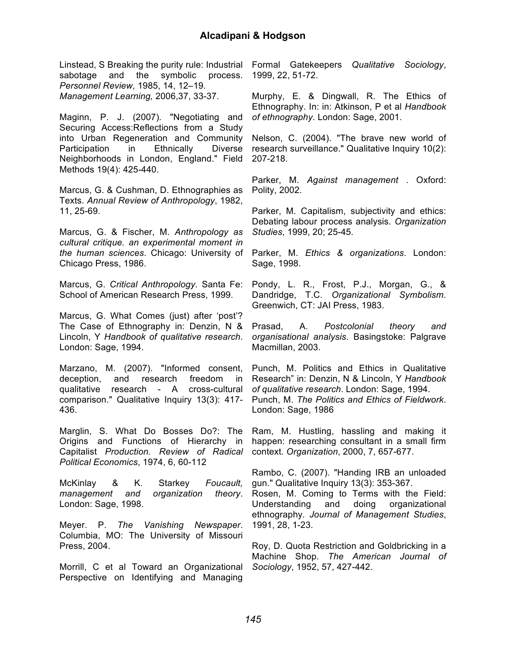sabotage and the symbolic process. *Personnel Review,* 1985, 14, 12–19. *Management Learning,* 2006,37, 33-37.

Maginn, P. J. (2007). "Negotiating and Securing Access:Reflections from a Study into Urban Regeneration and Community Participation in Ethnically Diverse Neighborhoods in London, England." Field Methods 19(4): 425-440.

Marcus, G. & Cushman, D. Ethnographies as Texts. *Annual Review of Anthropology*, 1982, 11, 25-69.

Marcus, G. & Fischer, M. *Anthropology as cultural critique. an experimental moment in the human sciences*. Chicago: University of Chicago Press, 1986.

Marcus, G. *Critical Anthropology*. Santa Fe: School of American Research Press, 1999.

Marcus, G. What Comes (just) after 'post'? The Case of Ethnography in: Denzin, N & Lincoln, Y *Handbook of qualitative research*. London: Sage, 1994.

Marzano, M. (2007). "Informed consent, deception, and research freedom in qualitative research - A cross-cultural comparison." Qualitative Inquiry 13(3): 417- 436.

Marglin, S. What Do Bosses Do?: The Origins and Functions of Hierarchy in Capitalist *Production. Review of Radical Political Economics*, 1974, 6, 60-112

McKinlay & K. Starkey *Foucault, management and organization theory*. London: Sage, 1998.

Meyer. P. *The Vanishing Newspaper*. Columbia, MO: The University of Missouri Press, 2004.

Morrill, C et al Toward an Organizational Perspective on Identifying and Managing

Linstead, S Breaking the purity rule: Industrial Formal Gatekeepers *Qualitative Sociology*, 1999, 22, 51-72.

> Murphy, E. & Dingwall, R. The Ethics of Ethnography. In: in: Atkinson, P et al *Handbook of ethnography*. London: Sage, 2001.

> Nelson, C. (2004). "The brave new world of research surveillance." Qualitative Inquiry 10(2): 207-218.

> Parker, M. *Against management* . Oxford: Polity, 2002.

> Parker, M. Capitalism, subjectivity and ethics: Debating labour process analysis. *Organization Studies*, 1999, 20; 25-45.

> Parker, M. *Ethics & organizations*. London: Sage, 1998.

> Pondy, L. R., Frost, P.J., Morgan, G., & Dandridge, T.C. *Organizational Symbolism*. Greenwich, CT: JAI Press, 1983.

> Prasad, A. *Postcolonial theory and organisational analysis*. Basingstoke: Palgrave Macmillan, 2003.

> Punch, M. Politics and Ethics in Qualitative Research" in: Denzin, N & Lincoln, Y *Handbook of qualitative research*. London: Sage, 1994. Punch, M. *The Politics and Ethics of Fieldwork*. London: Sage, 1986

> Ram, M. Hustling, hassling and making it happen: researching consultant in a small firm context. *Organization*, 2000, 7, 657-677.

> Rambo, C. (2007). "Handing IRB an unloaded gun." Qualitative Inquiry 13(3): 353-367. Rosen, M. Coming to Terms with the Field:

> Understanding and doing organizational ethnography*. Journal of Management Studies*, 1991, 28, 1-23.

> Roy, D. Quota Restriction and Goldbricking in a Machine Shop. *The American Journal of Sociology*, 1952, 57, 427-442.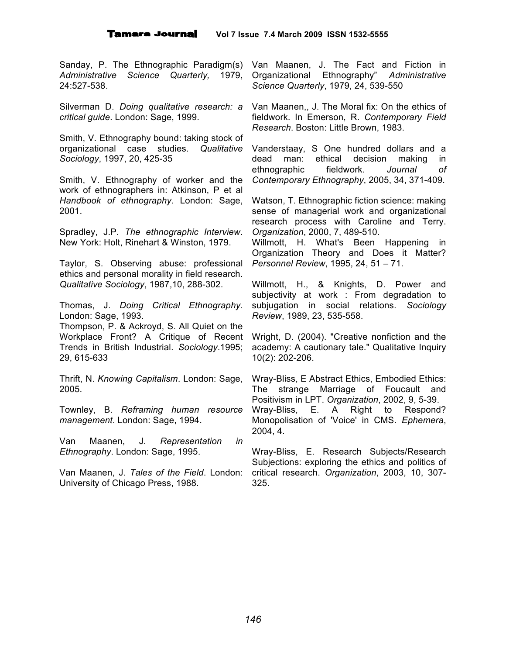*Administrative Science Quarterly,* 1979, 24:527-538.

Silverman D. *Doing qualitative research: a critical guide*. London: Sage, 1999.

Smith, V. Ethnography bound: taking stock of organizational case studies. *Qualitative Sociology*, 1997, 20, 425-35

Smith, V. Ethnography of worker and the work of ethnographers in: Atkinson, P et al *Handbook of ethnography*. London: Sage, 2001.

Spradley, J.P. *The ethnographic Interview*. New York: Holt, Rinehart & Winston, 1979.

Taylor, S. Observing abuse: professional ethics and personal morality in field research. *Qualitative Sociology*, 1987,10, 288-302.

Thomas, J. *Doing Critical Ethnography*. London: Sage, 1993.

Thompson, P. & Ackroyd, S. All Quiet on the Workplace Front? A Critique of Recent Trends in British Industrial. *Sociology*.1995; 29, 615-633

Thrift, N. *Knowing Capitalism*. London: Sage, 2005.

Townley, B. *Reframing human resource management*. London: Sage, 1994.

Van Maanen, J. *Representation in Ethnography*. London: Sage, 1995.

Van Maanen, J. *Tales of the Field*. London: University of Chicago Press, 1988.

Sanday, P. The Ethnographic Paradigm(s) Van Maanen, J. The Fact and Fiction in Organizational Ethnography" *Administrative Science Quarterly*, 1979, 24, 539-550

> Van Maanen,, J. The Moral fix: On the ethics of fieldwork. In Emerson, R. *Contemporary Field Research*. Boston: Little Brown, 1983.

> Vanderstaay, S One hundred dollars and a dead man: ethical decision making in ethnographic fieldwork. *Journal of Contemporary Ethnography*, 2005, 34, 371-409.

> Watson, T. Ethnographic fiction science: making sense of managerial work and organizational research process with Caroline and Terry. *Organization*, 2000, 7, 489-510.

> Willmott, H. What's Been Happening in Organization Theory and Does it Matter? *Personnel Review*, 1995, 24, 51 – 71.

> Willmott, H., & Knights, D. Power and subjectivity at work : From degradation to subjugation in social relations. *Sociology Review*, 1989, 23, 535-558.

> Wright, D. (2004). "Creative nonfiction and the academy: A cautionary tale." Qualitative Inquiry 10(2): 202-206.

> Wray-Bliss, E Abstract Ethics, Embodied Ethics: The strange Marriage of Foucault and Positivism in LPT. *Organization*, 2002, 9, 5-39. Wray-Bliss, E. A Right to Respond? Monopolisation of 'Voice' in CMS. *Ephemera*, 2004, 4.

> Wray-Bliss, E. Research Subjects/Research Subjections: exploring the ethics and politics of critical research. *Organization*, 2003, 10, 307- 325.